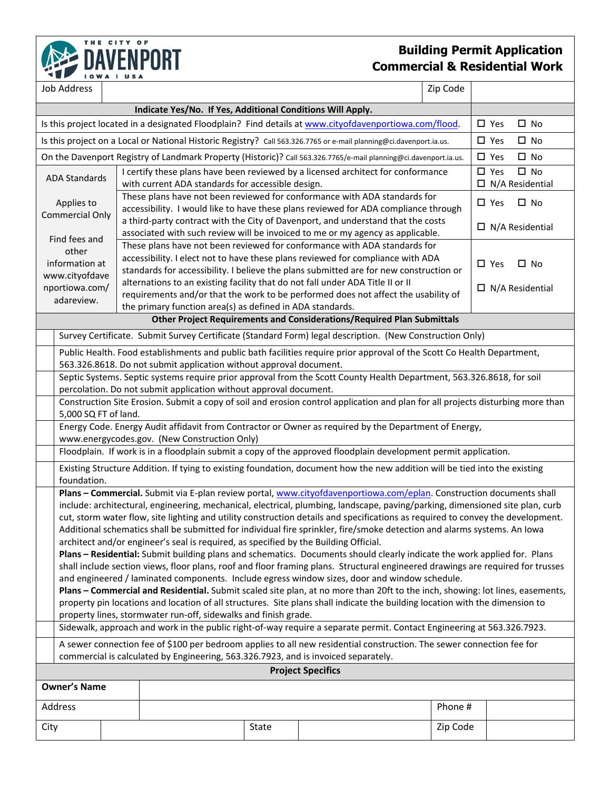

## **Building Permit Application Commercial & Residential Work**

|                                                                                    | Job Address                                                                                                                                                                                                                                                      |               |                                                                                                                                                                    |                        |                                                                                                                            | Zip Code |               |              |  |  |
|------------------------------------------------------------------------------------|------------------------------------------------------------------------------------------------------------------------------------------------------------------------------------------------------------------------------------------------------------------|---------------|--------------------------------------------------------------------------------------------------------------------------------------------------------------------|------------------------|----------------------------------------------------------------------------------------------------------------------------|----------|---------------|--------------|--|--|
|                                                                                    |                                                                                                                                                                                                                                                                  |               |                                                                                                                                                                    |                        |                                                                                                                            |          |               |              |  |  |
|                                                                                    | Is this project located in a designated Floodplain? Find details at www.cityofdavenportiowa.com/flood.                                                                                                                                                           | $\square$ Yes | $\square$ No                                                                                                                                                       |                        |                                                                                                                            |          |               |              |  |  |
|                                                                                    |                                                                                                                                                                                                                                                                  |               |                                                                                                                                                                    |                        | Is this project on a Local or National Historic Registry? Call 563.326.7765 or e-mail planning@ci.davenport.ia.us.         |          | $\square$ Yes | $\square$ No |  |  |
|                                                                                    |                                                                                                                                                                                                                                                                  |               |                                                                                                                                                                    |                        | On the Davenport Registry of Landmark Property (Historic)? Call 563.326.7765/e-mail planning@ci.davenport.ia.us.           |          | $\square$ Yes | $\square$ No |  |  |
| <b>ADA Standards</b>                                                               |                                                                                                                                                                                                                                                                  |               | I certify these plans have been reviewed by a licensed architect for conformance<br>with current ADA standards for accessible design.                              | $\square$ Yes          | $\square$ No<br>$\Box$ N/A Residential                                                                                     |          |               |              |  |  |
| Applies to<br><b>Commercial Only</b><br>Find fees and                              |                                                                                                                                                                                                                                                                  |               | These plans have not been reviewed for conformance with ADA standards for<br>accessibility. I would like to have these plans reviewed for ADA compliance through   | $\square$ Yes          | $\square$ No                                                                                                               |          |               |              |  |  |
|                                                                                    |                                                                                                                                                                                                                                                                  |               | a third-party contract with the City of Davenport, and understand that the costs<br>associated with such review will be invoiced to me or my agency as applicable. | $\Box$ N/A Residential |                                                                                                                            |          |               |              |  |  |
|                                                                                    |                                                                                                                                                                                                                                                                  |               | These plans have not been reviewed for conformance with ADA standards for                                                                                          |                        |                                                                                                                            |          |               |              |  |  |
| other                                                                              |                                                                                                                                                                                                                                                                  |               | accessibility. I elect not to have these plans reviewed for compliance with ADA                                                                                    |                        | $\square$ No                                                                                                               |          |               |              |  |  |
| information at                                                                     |                                                                                                                                                                                                                                                                  |               | $\Box$ Yes<br>standards for accessibility. I believe the plans submitted are for new construction or                                                               |                        |                                                                                                                            |          |               |              |  |  |
| www.cityofdave<br>nportiowa.com/                                                   |                                                                                                                                                                                                                                                                  |               | alternations to an existing facility that do not fall under ADA Title II or II                                                                                     |                        | $\Box$ N/A Residential                                                                                                     |          |               |              |  |  |
|                                                                                    | adareview.                                                                                                                                                                                                                                                       |               | requirements and/or that the work to be performed does not affect the usability of                                                                                 |                        |                                                                                                                            |          |               |              |  |  |
|                                                                                    | the primary function area(s) as defined in ADA standards.<br><b>Other Project Requirements and Considerations/Required Plan Submittals</b>                                                                                                                       |               |                                                                                                                                                                    |                        |                                                                                                                            |          |               |              |  |  |
|                                                                                    |                                                                                                                                                                                                                                                                  |               |                                                                                                                                                                    |                        | Survey Certificate. Submit Survey Certificate (Standard Form) legal description. (New Construction Only)                   |          |               |              |  |  |
|                                                                                    |                                                                                                                                                                                                                                                                  |               |                                                                                                                                                                    |                        | Public Health. Food establishments and public bath facilities require prior approval of the Scott Co Health Department,    |          |               |              |  |  |
|                                                                                    | 563.326.8618. Do not submit application without approval document.                                                                                                                                                                                               |               |                                                                                                                                                                    |                        |                                                                                                                            |          |               |              |  |  |
|                                                                                    | Septic Systems. Septic systems require prior approval from the Scott County Health Department, 563.326.8618, for soil<br>percolation. Do not submit application without approval document.                                                                       |               |                                                                                                                                                                    |                        |                                                                                                                            |          |               |              |  |  |
|                                                                                    | Construction Site Erosion. Submit a copy of soil and erosion control application and plan for all projects disturbing more than                                                                                                                                  |               |                                                                                                                                                                    |                        |                                                                                                                            |          |               |              |  |  |
|                                                                                    | 5,000 SQ FT of land.                                                                                                                                                                                                                                             |               |                                                                                                                                                                    |                        |                                                                                                                            |          |               |              |  |  |
|                                                                                    | Energy Code. Energy Audit affidavit from Contractor or Owner as required by the Department of Energy,                                                                                                                                                            |               |                                                                                                                                                                    |                        |                                                                                                                            |          |               |              |  |  |
|                                                                                    | www.energycodes.gov. (New Construction Only)<br>Floodplain. If work is in a floodplain submit a copy of the approved floodplain development permit application.                                                                                                  |               |                                                                                                                                                                    |                        |                                                                                                                            |          |               |              |  |  |
|                                                                                    |                                                                                                                                                                                                                                                                  |               |                                                                                                                                                                    |                        | Existing Structure Addition. If tying to existing foundation, document how the new addition will be tied into the existing |          |               |              |  |  |
|                                                                                    | foundation.                                                                                                                                                                                                                                                      |               |                                                                                                                                                                    |                        |                                                                                                                            |          |               |              |  |  |
|                                                                                    |                                                                                                                                                                                                                                                                  |               |                                                                                                                                                                    |                        | Plans - Commercial. Submit via E-plan review portal, www.cityofdavenportiowa.com/eplan. Construction documents shall       |          |               |              |  |  |
|                                                                                    | include: architectural, engineering, mechanical, electrical, plumbing, landscape, paving/parking, dimensioned site plan, curb<br>cut, storm water flow, site lighting and utility construction details and specifications as required to convey the development. |               |                                                                                                                                                                    |                        |                                                                                                                            |          |               |              |  |  |
|                                                                                    | Additional schematics shall be submitted for individual fire sprinkler, fire/smoke detection and alarms systems. An Iowa                                                                                                                                         |               |                                                                                                                                                                    |                        |                                                                                                                            |          |               |              |  |  |
|                                                                                    | architect and/or engineer's seal is required, as specified by the Building Official.                                                                                                                                                                             |               |                                                                                                                                                                    |                        |                                                                                                                            |          |               |              |  |  |
|                                                                                    | Plans - Residential: Submit building plans and schematics. Documents should clearly indicate the work applied for. Plans                                                                                                                                         |               |                                                                                                                                                                    |                        |                                                                                                                            |          |               |              |  |  |
|                                                                                    | shall include section views, floor plans, roof and floor framing plans. Structural engineered drawings are required for trusses                                                                                                                                  |               |                                                                                                                                                                    |                        |                                                                                                                            |          |               |              |  |  |
|                                                                                    | and engineered / laminated components. Include egress window sizes, door and window schedule.                                                                                                                                                                    |               |                                                                                                                                                                    |                        |                                                                                                                            |          |               |              |  |  |
|                                                                                    | Plans - Commercial and Residential. Submit scaled site plan, at no more than 20ft to the inch, showing: lot lines, easements,<br>property pin locations and location of all structures. Site plans shall indicate the building location with the dimension to    |               |                                                                                                                                                                    |                        |                                                                                                                            |          |               |              |  |  |
|                                                                                    | property lines, stormwater run-off, sidewalks and finish grade.                                                                                                                                                                                                  |               |                                                                                                                                                                    |                        |                                                                                                                            |          |               |              |  |  |
|                                                                                    | Sidewalk, approach and work in the public right-of-way require a separate permit. Contact Engineering at 563.326.7923.                                                                                                                                           |               |                                                                                                                                                                    |                        |                                                                                                                            |          |               |              |  |  |
|                                                                                    | A sewer connection fee of \$100 per bedroom applies to all new residential construction. The sewer connection fee for                                                                                                                                            |               |                                                                                                                                                                    |                        |                                                                                                                            |          |               |              |  |  |
| commercial is calculated by Engineering, 563.326.7923, and is invoiced separately. |                                                                                                                                                                                                                                                                  |               |                                                                                                                                                                    |                        |                                                                                                                            |          |               |              |  |  |
| <b>Project Specifics</b>                                                           |                                                                                                                                                                                                                                                                  |               |                                                                                                                                                                    |                        |                                                                                                                            |          |               |              |  |  |
| <b>Owner's Name</b>                                                                |                                                                                                                                                                                                                                                                  |               |                                                                                                                                                                    |                        |                                                                                                                            |          |               |              |  |  |
| Address                                                                            |                                                                                                                                                                                                                                                                  |               |                                                                                                                                                                    |                        |                                                                                                                            | Phone #  |               |              |  |  |
| City                                                                               |                                                                                                                                                                                                                                                                  |               |                                                                                                                                                                    | State                  |                                                                                                                            | Zip Code |               |              |  |  |
|                                                                                    |                                                                                                                                                                                                                                                                  |               |                                                                                                                                                                    |                        |                                                                                                                            |          |               |              |  |  |